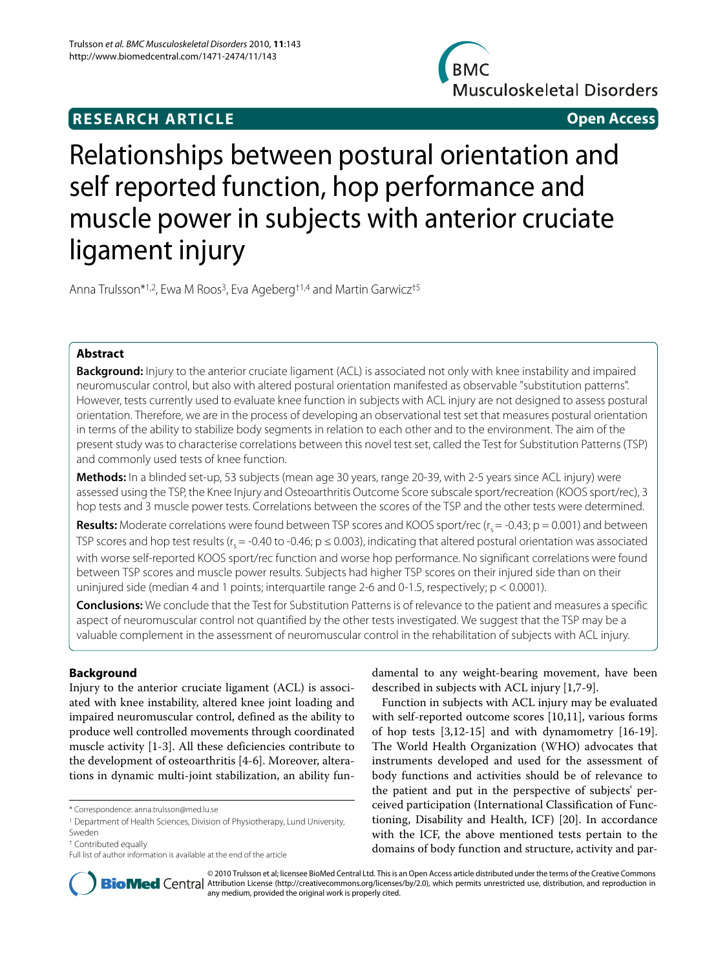## **RESEARCH ARTICLE Open Access**

**BMC Musculoskeletal Disorders** 

# Relationships between postural orientation and self reported function, hop performance and muscle power in subjects with anterior cruciate ligament injury

Anna Trulsson<sup>\*1,2</sup>, Ewa M Roos<sup>3</sup>, Eva Ageberg<sup>†1,4</sup> and Martin Garwicz<sup>†5</sup>

## **Abstract**

**Background:** Injury to the anterior cruciate ligament (ACL) is associated not only with knee instability and impaired neuromuscular control, but also with altered postural orientation manifested as observable "substitution patterns". However, tests currently used to evaluate knee function in subjects with ACL injury are not designed to assess postural orientation. Therefore, we are in the process of developing an observational test set that measures postural orientation in terms of the ability to stabilize body segments in relation to each other and to the environment. The aim of the present study was to characterise correlations between this novel test set, called the Test for Substitution Patterns (TSP) and commonly used tests of knee function.

**Methods:** In a blinded set-up, 53 subjects (mean age 30 years, range 20-39, with 2-5 years since ACL injury) were assessed using the TSP, the Knee Injury and Osteoarthritis Outcome Score subscale sport/recreation (KOOS sport/rec), 3 hop tests and 3 muscle power tests. Correlations between the scores of the TSP and the other tests were determined.

**Results:** Moderate correlations were found between TSP scores and KOOS sport/rec ( $r_s = -0.43$ ;  $p = 0.001$ ) and between TSP scores and hop test results ( $r_s = -0.40$  to  $-0.46$ ;  $p \le 0.003$ ), indicating that altered postural orientation was associated with worse self-reported KOOS sport/rec function and worse hop performance. No significant correlations were found between TSP scores and muscle power results. Subjects had higher TSP scores on their injured side than on their uninjured side (median 4 and 1 points; interquartile range 2-6 and 0-1.5, respectively; p < 0.0001).

**Conclusions:** We conclude that the Test for Substitution Patterns is of relevance to the patient and measures a specific aspect of neuromuscular control not quantified by the other tests investigated. We suggest that the TSP may be a valuable complement in the assessment of neuromuscular control in the rehabilitation of subjects with ACL injury.

## **Background**

Injury to the anterior cruciate ligament (ACL) is associated with knee instability, altered knee joint loading and impaired neuromuscular control, defined as the ability to produce well controlled movements through coordinated muscle activity [\[1](#page-7-0)-[3\]](#page-7-1). All these deficiencies contribute to the development of osteoarthritis [[4-](#page-7-2)[6\]](#page-7-3). Moreover, alterations in dynamic multi-joint stabilization, an ability fundamental to any weight-bearing movement, have been described in subjects with ACL injury [\[1](#page-7-0),[7-](#page-7-4)[9](#page-7-5)].

Function in subjects with ACL injury may be evaluated with self-reported outcome scores [[10,](#page-7-6)[11\]](#page-7-7), various forms of hop tests [[3,](#page-7-1)[12-](#page-7-8)[15](#page-7-9)] and with dynamometry [[16](#page-7-10)[-19](#page-7-11)]. The World Health Organization (WHO) advocates that instruments developed and used for the assessment of body functions and activities should be of relevance to the patient and put in the perspective of subjects' perceived participation (International Classification of Functioning, Disability and Health, ICF) [\[20\]](#page-7-12). In accordance with the ICF, the above mentioned tests pertain to the domains of body function and structure, activity and par-



© 2010 Trulsson et al; licensee BioMed Central Ltd. This is an Open Access article distributed under the terms of the Creative Commons **Bio Med** Central Attribution License (http://creativecommons.org/licenses/by/2.0), which permits unrestricted use, distribution, and reproduction in any medium, provided the original work is properly cited.

<sup>\*</sup> Correspondence: anna.trulsson@med.lu.se

<sup>&</sup>lt;sup>1</sup> Department of Health Sciences, Division of Physiotherapy, Lund University, Sweden

<sup>†</sup> Contributed equally

Full list of author information is available at the end of the article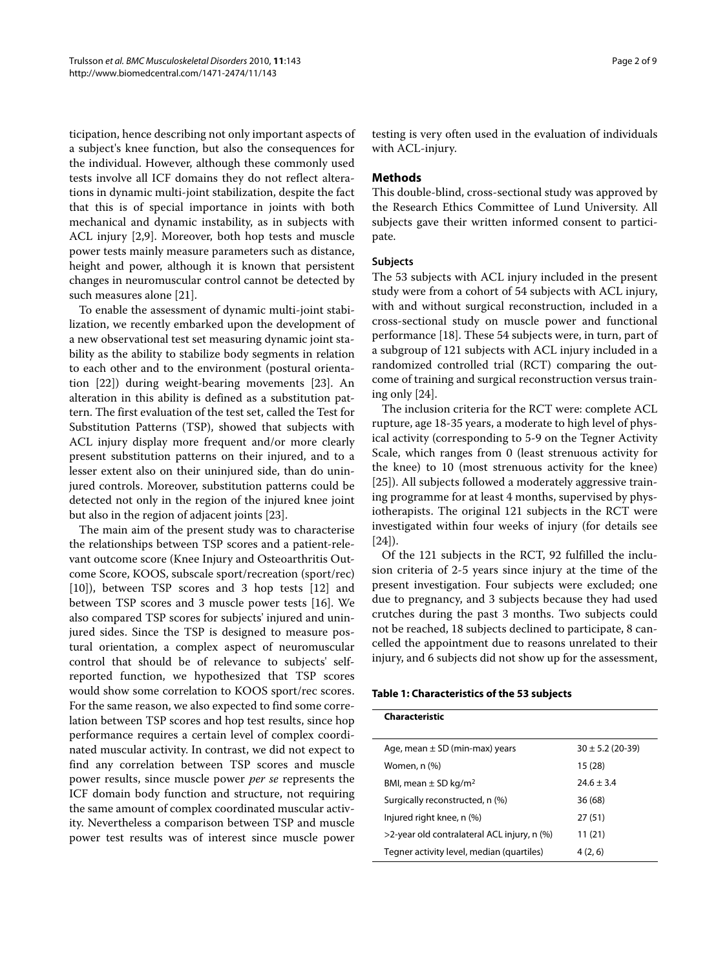ticipation, hence describing not only important aspects of a subject's knee function, but also the consequences for the individual. However, although these commonly used tests involve all ICF domains they do not reflect alterations in dynamic multi-joint stabilization, despite the fact that this is of special importance in joints with both mechanical and dynamic instability, as in subjects with ACL injury [[2](#page-7-13)[,9](#page-7-5)]. Moreover, both hop tests and muscle power tests mainly measure parameters such as distance, height and power, although it is known that persistent changes in neuromuscular control cannot be detected by such measures alone [\[21](#page-7-14)].

To enable the assessment of dynamic multi-joint stabilization, we recently embarked upon the development of a new observational test set measuring dynamic joint stability as the ability to stabilize body segments in relation to each other and to the environment (postural orientation [\[22](#page-7-15)]) during weight-bearing movements [[23\]](#page-8-0). An alteration in this ability is defined as a substitution pattern. The first evaluation of the test set, called the Test for Substitution Patterns (TSP), showed that subjects with ACL injury display more frequent and/or more clearly present substitution patterns on their injured, and to a lesser extent also on their uninjured side, than do uninjured controls. Moreover, substitution patterns could be detected not only in the region of the injured knee joint but also in the region of adjacent joints [\[23](#page-8-0)].

The main aim of the present study was to characterise the relationships between TSP scores and a patient-relevant outcome score (Knee Injury and Osteoarthritis Outcome Score, KOOS, subscale sport/recreation (sport/rec) [[10\]](#page-7-6)), between TSP scores and 3 hop tests [[12\]](#page-7-8) and between TSP scores and 3 muscle power tests [[16\]](#page-7-10). We also compared TSP scores for subjects' injured and uninjured sides. Since the TSP is designed to measure postural orientation, a complex aspect of neuromuscular control that should be of relevance to subjects' selfreported function, we hypothesized that TSP scores would show some correlation to KOOS sport/rec scores. For the same reason, we also expected to find some correlation between TSP scores and hop test results, since hop performance requires a certain level of complex coordinated muscular activity. In contrast, we did not expect to find any correlation between TSP scores and muscle power results, since muscle power *per se* represents the ICF domain body function and structure, not requiring the same amount of complex coordinated muscular activity. Nevertheless a comparison between TSP and muscle power test results was of interest since muscle power testing is very often used in the evaluation of individuals with ACL-injury.

#### **Methods**

This double-blind, cross-sectional study was approved by the Research Ethics Committee of Lund University. All subjects gave their written informed consent to participate.

#### **Subjects**

The 53 subjects with ACL injury included in the present study were from a cohort of 54 subjects with ACL injury, with and without surgical reconstruction, included in a cross-sectional study on muscle power and functional performance [[18](#page-7-16)]. These 54 subjects were, in turn, part of a subgroup of 121 subjects with ACL injury included in a randomized controlled trial (RCT) comparing the outcome of training and surgical reconstruction versus training only [[24\]](#page-8-1).

The inclusion criteria for the RCT were: complete ACL rupture, age 18-35 years, a moderate to high level of physical activity (corresponding to 5-9 on the Tegner Activity Scale, which ranges from 0 (least strenuous activity for the knee) to 10 (most strenuous activity for the knee) [[25\]](#page-8-2)). All subjects followed a moderately aggressive training programme for at least 4 months, supervised by physiotherapists. The original 121 subjects in the RCT were investigated within four weeks of injury (for details see [[24\]](#page-8-1)).

Of the 121 subjects in the RCT, 92 fulfilled the inclusion criteria of 2-5 years since injury at the time of the present investigation. Four subjects were excluded; one due to pregnancy, and 3 subjects because they had used crutches during the past 3 months. Two subjects could not be reached, 18 subjects declined to participate, 8 cancelled the appointment due to reasons unrelated to their injury, and 6 subjects did not show up for the assessment,

#### **Table 1: Characteristics of the 53 subjects**

| Characteristic                              |                      |
|---------------------------------------------|----------------------|
| Age, mean $\pm$ SD (min-max) years          | $30 \pm 5.2$ (20-39) |
| Women, $n$ $(\%)$                           | 15 (28)              |
| BMI, mean $\pm$ SD kg/m <sup>2</sup>        | $24.6 \pm 3.4$       |
| Surgically reconstructed, n (%)             | 36 (68)              |
| Injured right knee, n (%)                   | 27(51)               |
| >2-year old contralateral ACL injury, n (%) | 11 (21)              |
| Tegner activity level, median (quartiles)   | 4(2, 6)              |
|                                             |                      |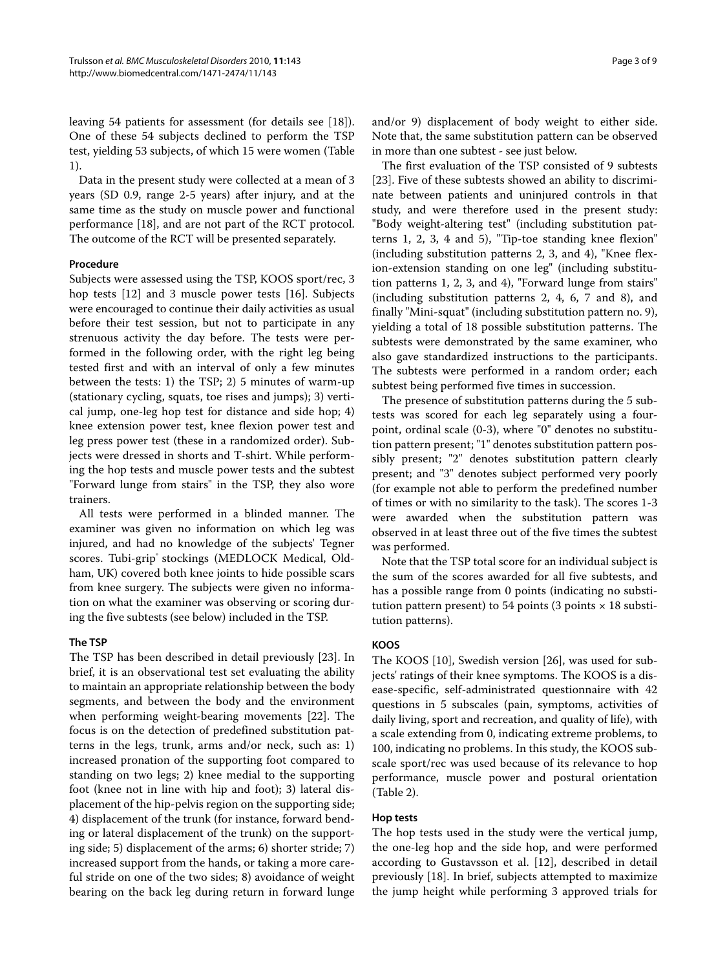leaving 54 patients for assessment (for details see [\[18\]](#page-7-16)). One of these 54 subjects declined to perform the TSP test, yielding 53 subjects, of which 15 were women (Table 1).

Data in the present study were collected at a mean of 3 years (SD 0.9, range 2-5 years) after injury, and at the same time as the study on muscle power and functional performance [\[18](#page-7-16)], and are not part of the RCT protocol. The outcome of the RCT will be presented separately.

#### **Procedure**

Subjects were assessed using the TSP, KOOS sport/rec, 3 hop tests [[12](#page-7-8)] and 3 muscle power tests [[16\]](#page-7-10). Subjects were encouraged to continue their daily activities as usual before their test session, but not to participate in any strenuous activity the day before. The tests were performed in the following order, with the right leg being tested first and with an interval of only a few minutes between the tests: 1) the TSP; 2) 5 minutes of warm-up (stationary cycling, squats, toe rises and jumps); 3) vertical jump, one-leg hop test for distance and side hop; 4) knee extension power test, knee flexion power test and leg press power test (these in a randomized order). Subjects were dressed in shorts and T-shirt. While performing the hop tests and muscle power tests and the subtest "Forward lunge from stairs" in the TSP, they also wore trainers.

All tests were performed in a blinded manner. The examiner was given no information on which leg was injured, and had no knowledge of the subjects' Tegner scores. Tubi-grip® stockings (MEDLOCK Medical, Oldham, UK) covered both knee joints to hide possible scars from knee surgery. The subjects were given no information on what the examiner was observing or scoring during the five subtests (see below) included in the TSP.

#### **The TSP**

The TSP has been described in detail previously [[23](#page-8-0)]. In brief, it is an observational test set evaluating the ability to maintain an appropriate relationship between the body segments, and between the body and the environment when performing weight-bearing movements [[22\]](#page-7-15). The focus is on the detection of predefined substitution patterns in the legs, trunk, arms and/or neck, such as: 1) increased pronation of the supporting foot compared to standing on two legs; 2) knee medial to the supporting foot (knee not in line with hip and foot); 3) lateral displacement of the hip-pelvis region on the supporting side; 4) displacement of the trunk (for instance, forward bending or lateral displacement of the trunk) on the supporting side; 5) displacement of the arms; 6) shorter stride; 7) increased support from the hands, or taking a more careful stride on one of the two sides; 8) avoidance of weight bearing on the back leg during return in forward lunge

and/or 9) displacement of body weight to either side. Note that, the same substitution pattern can be observed in more than one subtest - see just below.

The first evaluation of the TSP consisted of 9 subtests [[23\]](#page-8-0). Five of these subtests showed an ability to discriminate between patients and uninjured controls in that study, and were therefore used in the present study: "Body weight-altering test" (including substitution patterns 1, 2, 3, 4 and 5), "Tip-toe standing knee flexion" (including substitution patterns 2, 3, and 4), "Knee flexion-extension standing on one leg" (including substitution patterns 1, 2, 3, and 4), "Forward lunge from stairs" (including substitution patterns 2, 4, 6, 7 and 8), and finally "Mini-squat" (including substitution pattern no. 9), yielding a total of 18 possible substitution patterns. The subtests were demonstrated by the same examiner, who also gave standardized instructions to the participants. The subtests were performed in a random order; each subtest being performed five times in succession.

The presence of substitution patterns during the 5 subtests was scored for each leg separately using a fourpoint, ordinal scale (0-3), where "0" denotes no substitution pattern present; "1" denotes substitution pattern possibly present; "2" denotes substitution pattern clearly present; and "3" denotes subject performed very poorly (for example not able to perform the predefined number of times or with no similarity to the task). The scores 1-3 were awarded when the substitution pattern was observed in at least three out of the five times the subtest was performed.

Note that the TSP total score for an individual subject is the sum of the scores awarded for all five subtests, and has a possible range from 0 points (indicating no substitution pattern present) to 54 points (3 points  $\times$  18 substitution patterns).

## **KOOS**

The KOOS [\[10](#page-7-6)], Swedish version [[26](#page-8-3)], was used for subjects' ratings of their knee symptoms. The KOOS is a disease-specific, self-administrated questionnaire with 42 questions in 5 subscales (pain, symptoms, activities of daily living, sport and recreation, and quality of life), with a scale extending from 0, indicating extreme problems, to 100, indicating no problems. In this study, the KOOS subscale sport/rec was used because of its relevance to hop performance, muscle power and postural orientation (Table 2).

#### **Hop tests**

The hop tests used in the study were the vertical jump, the one-leg hop and the side hop, and were performed according to Gustavsson et al. [[12](#page-7-8)], described in detail previously [[18\]](#page-7-16). In brief, subjects attempted to maximize the jump height while performing 3 approved trials for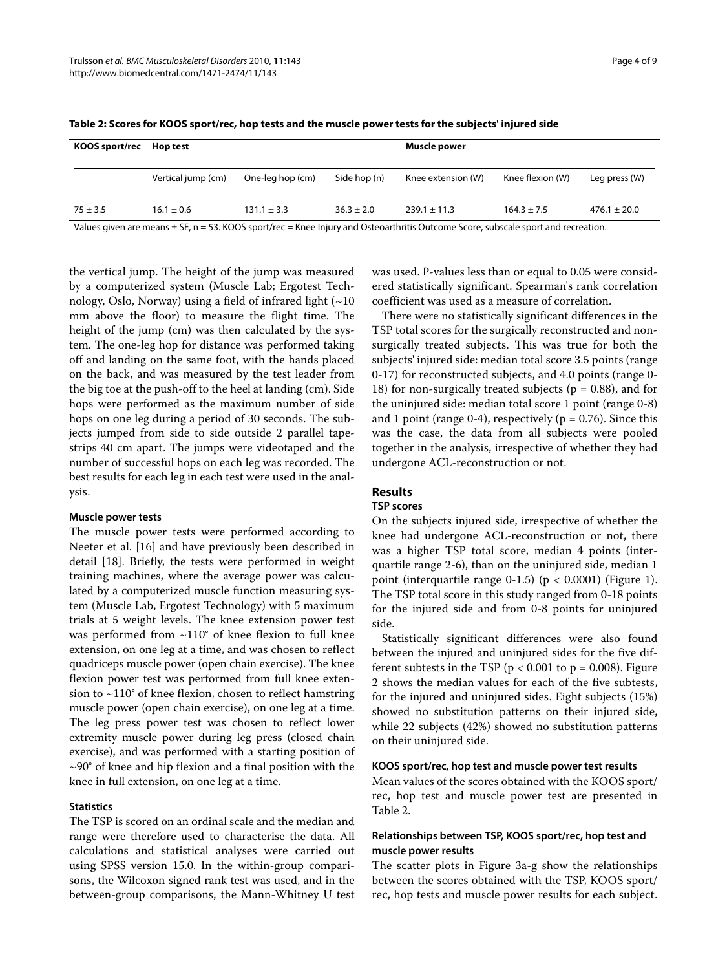| KOOS sport/rec Hop test |                    |                  |                | Muscle power       |                  |                  |
|-------------------------|--------------------|------------------|----------------|--------------------|------------------|------------------|
|                         | Vertical jump (cm) | One-leg hop (cm) | Side hop (n)   | Knee extension (W) | Knee flexion (W) | Leg press (W)    |
| $75 \pm 3.5$            | $16.1 \pm 0.6$     | $131.1 \pm 3.3$  | $36.3 \pm 2.0$ | $239.1 \pm 11.3$   | $164.3 \pm 7.5$  | $476.1 \pm 20.0$ |

**Table 2: Scores for KOOS sport/rec, hop tests and the muscle power tests for the subjects' injured side**

Values given are means ± SE, n = 53. KOOS sport/rec = Knee Injury and Osteoarthritis Outcome Score, subscale sport and recreation.

the vertical jump. The height of the jump was measured by a computerized system (Muscle Lab; Ergotest Technology, Oslo, Norway) using a field of infrared light  $(-10$ mm above the floor) to measure the flight time. The height of the jump (cm) was then calculated by the system. The one-leg hop for distance was performed taking off and landing on the same foot, with the hands placed on the back, and was measured by the test leader from the big toe at the push-off to the heel at landing (cm). Side hops were performed as the maximum number of side hops on one leg during a period of 30 seconds. The subjects jumped from side to side outside 2 parallel tapestrips 40 cm apart. The jumps were videotaped and the number of successful hops on each leg was recorded. The best results for each leg in each test were used in the analysis.

#### **Muscle power tests**

The muscle power tests were performed according to Neeter et al. [\[16](#page-7-10)] and have previously been described in detail [[18\]](#page-7-16). Briefly, the tests were performed in weight training machines, where the average power was calculated by a computerized muscle function measuring system (Muscle Lab, Ergotest Technology) with 5 maximum trials at 5 weight levels. The knee extension power test was performed from ~110° of knee flexion to full knee extension, on one leg at a time, and was chosen to reflect quadriceps muscle power (open chain exercise). The knee flexion power test was performed from full knee extension to ~110° of knee flexion, chosen to reflect hamstring muscle power (open chain exercise), on one leg at a time. The leg press power test was chosen to reflect lower extremity muscle power during leg press (closed chain exercise), and was performed with a starting position of  $\sim$ 90° of knee and hip flexion and a final position with the knee in full extension, on one leg at a time.

#### **Statistics**

The TSP is scored on an ordinal scale and the median and range were therefore used to characterise the data. All calculations and statistical analyses were carried out using SPSS version 15.0. In the within-group comparisons, the Wilcoxon signed rank test was used, and in the between-group comparisons, the Mann-Whitney U test was used. P-values less than or equal to 0.05 were considered statistically significant. Spearman's rank correlation coefficient was used as a measure of correlation.

There were no statistically significant differences in the TSP total scores for the surgically reconstructed and nonsurgically treated subjects. This was true for both the subjects' injured side: median total score 3.5 points (range 0-17) for reconstructed subjects, and 4.0 points (range 0- 18) for non-surgically treated subjects ( $p = 0.88$ ), and for the uninjured side: median total score 1 point (range 0-8) and 1 point (range 0-4), respectively ( $p = 0.76$ ). Since this was the case, the data from all subjects were pooled together in the analysis, irrespective of whether they had undergone ACL-reconstruction or not.

## **Results**

## **TSP scores**

On the subjects injured side, irrespective of whether the knee had undergone ACL-reconstruction or not, there was a higher TSP total score, median 4 points (interquartile range 2-6), than on the uninjured side, median 1 point (interquartile range 0-[1](#page-4-0).5) ( $p < 0.0001$ ) (Figure 1). The TSP total score in this study ranged from 0-18 points for the injured side and from 0-8 points for uninjured side.

Statistically significant differences were also found between the injured and uninjured sides for the five different subtests in the TSP ( $p < 0.001$  to  $p = 0.008$ ). Figure [2](#page-4-1) shows the median values for each of the five subtests, for the injured and uninjured sides. Eight subjects (15%) showed no substitution patterns on their injured side, while 22 subjects (42%) showed no substitution patterns on their uninjured side.

#### **KOOS sport/rec, hop test and muscle power test results**

Mean values of the scores obtained with the KOOS sport/ rec, hop test and muscle power test are presented in Table 2.

## **Relationships between TSP, KOOS sport/rec, hop test and muscle power results**

The scatter plots in Figure [3](#page-5-0)a-g show the relationships between the scores obtained with the TSP, KOOS sport/ rec, hop tests and muscle power results for each subject.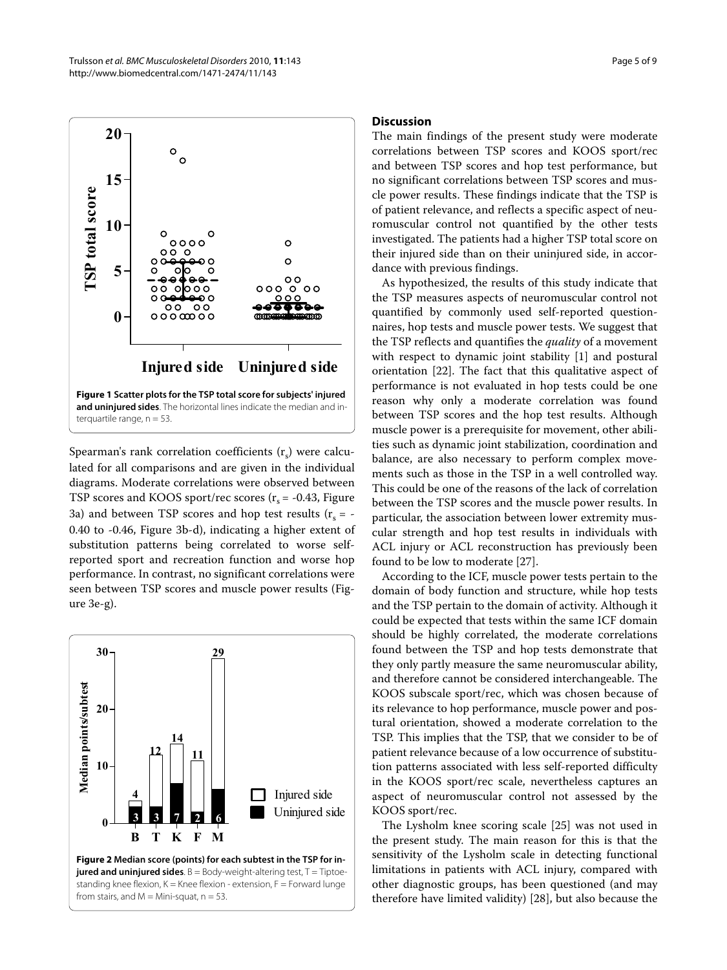<span id="page-4-0"></span>

Spearman's rank correlation coefficients  $(r<sub>s</sub>)$  were calculated for all comparisons and are given in the individual diagrams. Moderate correlations were observed between TSP scores and KOOS sport/rec scores  $(r_s = -0.43,$  Figure [3a](#page-5-0)) and between TSP scores and hop test results ( $r_s = -$ 0.40 to -0.46, Figure [3](#page-5-0)b-d), indicating a higher extent of substitution patterns being correlated to worse selfreported sport and recreation function and worse hop performance. In contrast, no significant correlations were seen between TSP scores and muscle power results (Figure [3](#page-5-0)e-g).

<span id="page-4-1"></span>

#### **Discussion**

The main findings of the present study were moderate correlations between TSP scores and KOOS sport/rec and between TSP scores and hop test performance, but no significant correlations between TSP scores and muscle power results. These findings indicate that the TSP is of patient relevance, and reflects a specific aspect of neuromuscular control not quantified by the other tests investigated. The patients had a higher TSP total score on their injured side than on their uninjured side, in accordance with previous findings.

As hypothesized, the results of this study indicate that the TSP measures aspects of neuromuscular control not quantified by commonly used self-reported questionnaires, hop tests and muscle power tests. We suggest that the TSP reflects and quantifies the *quality* of a movement with respect to dynamic joint stability [[1\]](#page-7-0) and postural orientation [\[22](#page-7-15)]. The fact that this qualitative aspect of performance is not evaluated in hop tests could be one reason why only a moderate correlation was found between TSP scores and the hop test results. Although muscle power is a prerequisite for movement, other abilities such as dynamic joint stabilization, coordination and balance, are also necessary to perform complex movements such as those in the TSP in a well controlled way. This could be one of the reasons of the lack of correlation between the TSP scores and the muscle power results. In particular, the association between lower extremity muscular strength and hop test results in individuals with ACL injury or ACL reconstruction has previously been found to be low to moderate [[27\]](#page-8-4).

According to the ICF, muscle power tests pertain to the domain of body function and structure, while hop tests and the TSP pertain to the domain of activity. Although it could be expected that tests within the same ICF domain should be highly correlated, the moderate correlations found between the TSP and hop tests demonstrate that they only partly measure the same neuromuscular ability, and therefore cannot be considered interchangeable. The KOOS subscale sport/rec, which was chosen because of its relevance to hop performance, muscle power and postural orientation, showed a moderate correlation to the TSP. This implies that the TSP, that we consider to be of patient relevance because of a low occurrence of substitution patterns associated with less self-reported difficulty in the KOOS sport/rec scale, nevertheless captures an aspect of neuromuscular control not assessed by the KOOS sport/rec.

The Lysholm knee scoring scale [\[25](#page-8-2)] was not used in the present study. The main reason for this is that the sensitivity of the Lysholm scale in detecting functional limitations in patients with ACL injury, compared with other diagnostic groups, has been questioned (and may therefore have limited validity) [\[28](#page-8-5)], but also because the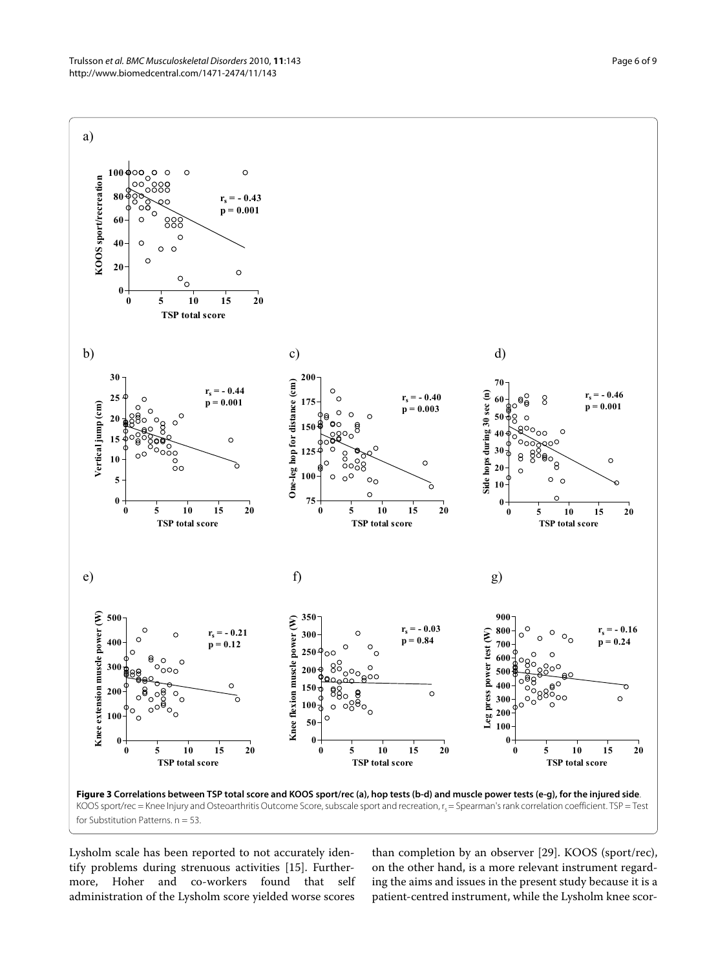<span id="page-5-0"></span>

Lysholm scale has been reported to not accurately identify problems during strenuous activities [[15\]](#page-7-9). Furthermore, Hoher and co-workers found that self administration of the Lysholm score yielded worse scores

than completion by an observer [[29\]](#page-8-6). KOOS (sport/rec), on the other hand, is a more relevant instrument regarding the aims and issues in the present study because it is a patient-centred instrument, while the Lysholm knee scor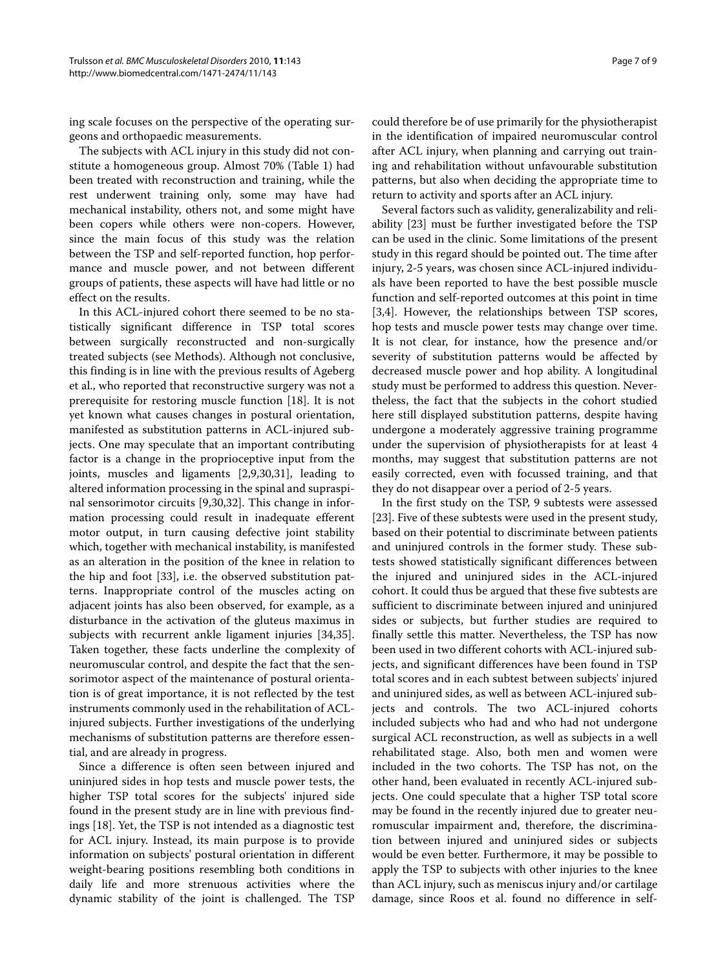ing scale focuses on the perspective of the operating surgeons and orthopaedic measurements.

The subjects with ACL injury in this study did not constitute a homogeneous group. Almost 70% (Table 1) had been treated with reconstruction and training, while the rest underwent training only, some may have had mechanical instability, others not, and some might have been copers while others were non-copers. However, since the main focus of this study was the relation between the TSP and self-reported function, hop performance and muscle power, and not between different groups of patients, these aspects will have had little or no effect on the results.

In this ACL-injured cohort there seemed to be no statistically significant difference in TSP total scores between surgically reconstructed and non-surgically treated subjects (see Methods). Although not conclusive, this finding is in line with the previous results of Ageberg et al., who reported that reconstructive surgery was not a prerequisite for restoring muscle function [\[18](#page-7-16)]. It is not yet known what causes changes in postural orientation, manifested as substitution patterns in ACL-injured subjects. One may speculate that an important contributing factor is a change in the proprioceptive input from the joints, muscles and ligaments [\[2](#page-7-13)[,9](#page-7-5)[,30](#page-8-7),[31](#page-8-8)], leading to altered information processing in the spinal and supraspinal sensorimotor circuits [[9,](#page-7-5)[30](#page-8-7)[,32\]](#page-8-9). This change in information processing could result in inadequate efferent motor output, in turn causing defective joint stability which, together with mechanical instability, is manifested as an alteration in the position of the knee in relation to the hip and foot [\[33](#page-8-10)], i.e. the observed substitution patterns. Inappropriate control of the muscles acting on adjacent joints has also been observed, for example, as a disturbance in the activation of the gluteus maximus in subjects with recurrent ankle ligament injuries [\[34](#page-8-11)[,35](#page-8-12)]. Taken together, these facts underline the complexity of neuromuscular control, and despite the fact that the sensorimotor aspect of the maintenance of postural orientation is of great importance, it is not reflected by the test instruments commonly used in the rehabilitation of ACLinjured subjects. Further investigations of the underlying mechanisms of substitution patterns are therefore essential, and are already in progress.

Since a difference is often seen between injured and uninjured sides in hop tests and muscle power tests, the higher TSP total scores for the subjects' injured side found in the present study are in line with previous findings [[18\]](#page-7-16). Yet, the TSP is not intended as a diagnostic test for ACL injury. Instead, its main purpose is to provide information on subjects' postural orientation in different weight-bearing positions resembling both conditions in daily life and more strenuous activities where the dynamic stability of the joint is challenged. The TSP

could therefore be of use primarily for the physiotherapist in the identification of impaired neuromuscular control after ACL injury, when planning and carrying out training and rehabilitation without unfavourable substitution patterns, but also when deciding the appropriate time to return to activity and sports after an ACL injury.

Several factors such as validity, generalizability and reliability [[23](#page-8-0)] must be further investigated before the TSP can be used in the clinic. Some limitations of the present study in this regard should be pointed out. The time after injury, 2-5 years, was chosen since ACL-injured individuals have been reported to have the best possible muscle function and self-reported outcomes at this point in time [[3](#page-7-1)[,4](#page-7-2)]. However, the relationships between TSP scores, hop tests and muscle power tests may change over time. It is not clear, for instance, how the presence and/or severity of substitution patterns would be affected by decreased muscle power and hop ability. A longitudinal study must be performed to address this question. Nevertheless, the fact that the subjects in the cohort studied here still displayed substitution patterns, despite having undergone a moderately aggressive training programme under the supervision of physiotherapists for at least 4 months, may suggest that substitution patterns are not easily corrected, even with focussed training, and that they do not disappear over a period of 2-5 years.

In the first study on the TSP, 9 subtests were assessed [[23\]](#page-8-0). Five of these subtests were used in the present study, based on their potential to discriminate between patients and uninjured controls in the former study. These subtests showed statistically significant differences between the injured and uninjured sides in the ACL-injured cohort. It could thus be argued that these five subtests are sufficient to discriminate between injured and uninjured sides or subjects, but further studies are required to finally settle this matter. Nevertheless, the TSP has now been used in two different cohorts with ACL-injured subjects, and significant differences have been found in TSP total scores and in each subtest between subjects' injured and uninjured sides, as well as between ACL-injured subjects and controls. The two ACL-injured cohorts included subjects who had and who had not undergone surgical ACL reconstruction, as well as subjects in a well rehabilitated stage. Also, both men and women were included in the two cohorts. The TSP has not, on the other hand, been evaluated in recently ACL-injured subjects. One could speculate that a higher TSP total score may be found in the recently injured due to greater neuromuscular impairment and, therefore, the discrimination between injured and uninjured sides or subjects would be even better. Furthermore, it may be possible to apply the TSP to subjects with other injuries to the knee than ACL injury, such as meniscus injury and/or cartilage damage, since Roos et al. found no difference in self-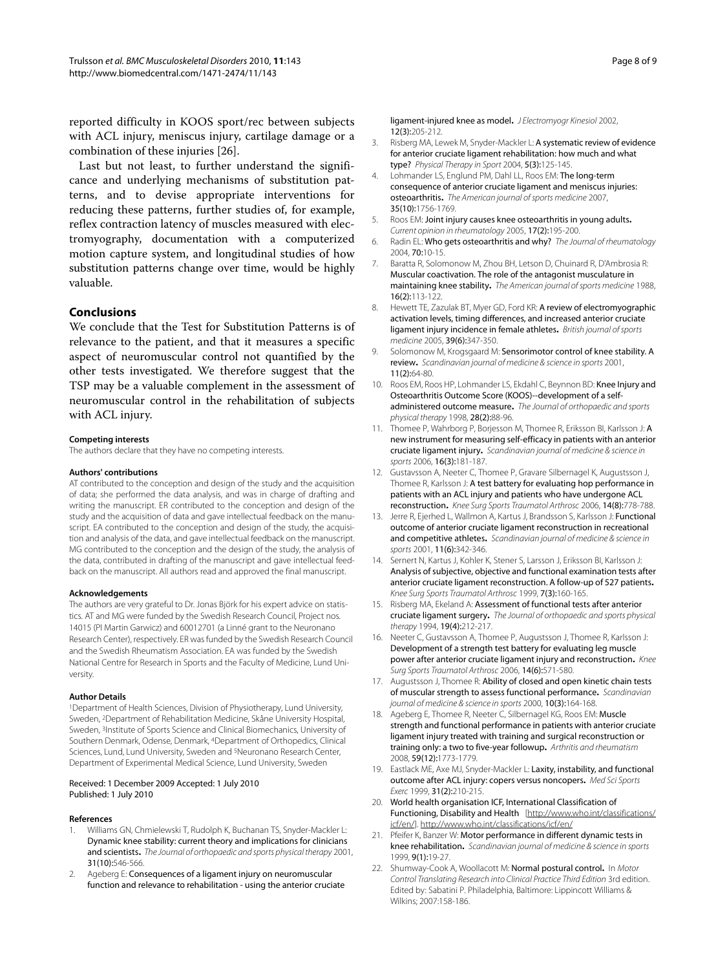reported difficulty in KOOS sport/rec between subjects with ACL injury, meniscus injury, cartilage damage or a combination of these injuries [[26\]](#page-8-3).

Last but not least, to further understand the significance and underlying mechanisms of substitution patterns, and to devise appropriate interventions for reducing these patterns, further studies of, for example, reflex contraction latency of muscles measured with electromyography, documentation with a computerized motion capture system, and longitudinal studies of how substitution patterns change over time, would be highly valuable.

#### **Conclusions**

We conclude that the Test for Substitution Patterns is of relevance to the patient, and that it measures a specific aspect of neuromuscular control not quantified by the other tests investigated. We therefore suggest that the TSP may be a valuable complement in the assessment of neuromuscular control in the rehabilitation of subjects with ACL injury.

#### **Competing interests**

The authors declare that they have no competing interests.

#### **Authors' contributions**

AT contributed to the conception and design of the study and the acquisition of data; she performed the data analysis, and was in charge of drafting and writing the manuscript. ER contributed to the conception and design of the study and the acquisition of data and gave intellectual feedback on the manuscript. EA contributed to the conception and design of the study, the acquisition and analysis of the data, and gave intellectual feedback on the manuscript. MG contributed to the conception and the design of the study, the analysis of the data, contributed in drafting of the manuscript and gave intellectual feedback on the manuscript. All authors read and approved the final manuscript.

#### **Acknowledgements**

The authors are very grateful to Dr. Jonas Björk for his expert advice on statistics. AT and MG were funded by the Swedish Research Council, Project nos. 14015 (PI Martin Garwicz) and 60012701 (a Linné grant to the Neuronano Research Center), respectively. ER was funded by the Swedish Research Council and the Swedish Rheumatism Association. EA was funded by the Swedish National Centre for Research in Sports and the Faculty of Medicine, Lund University.

#### **Author Details**

1Department of Health Sciences, Division of Physiotherapy, Lund University, Sweden, <sup>2</sup>Department of Rehabilitation Medicine, Skåne University Hospital, Sweden, <sup>3</sup>Institute of Sports Science and Clinical Biomechanics, University of Southern Denmark, Odense, Denmark, 4Department of Orthopedics, Clinical Sciences, Lund, Lund University, Sweden and 5Neuronano Research Center, Department of Experimental Medical Science, Lund University, Sweden

#### Received: 1 December 2009 Accepted: 1 July 2010 Published: 1 July 2010

#### **References**

- <span id="page-7-0"></span>1. Williams GN, Chmielewski T, Rudolph K, Buchanan TS, Snyder-Mackler L: Dynamic knee stability: current theory and implications for clinicians and scientists**.** The Journal of orthopaedic and sports physical therapy 2001, 31(10):546-566.
- <span id="page-7-13"></span>2. Ageberg E: Consequences of a ligament injury on neuromuscular function and relevance to rehabilitation - using the anterior cruciate

ligament-injured knee as model**.** J Electromyogr Kinesiol 2002, 12(3):205-212.

- <span id="page-7-1"></span>3. Risberg MA, Lewek M, Snyder-Mackler L: A systematic review of evidence for anterior cruciate ligament rehabilitation: how much and what type? Physical Therapy in Sport 2004, 5(3):125-145.
- <span id="page-7-2"></span>4. Lohmander LS, Englund PM, Dahl LL, Roos EM: The long-term consequence of anterior cruciate ligament and meniscus injuries: osteoarthritis**[.](http://www.ncbi.nlm.nih.gov/entrez/query.fcgi?cmd=Retrieve&db=PubMed&dopt=Abstract&list_uids=17761605)** The American journal of sports medicine 2007, 35(10):1756-1769.
- 5. Roos EM: Joint injury causes knee osteoarthritis in young adults**.** Current opinion in rheumatology 2005, 17(2):195-200.
- <span id="page-7-3"></span>6. Radin EL: Who gets osteoarthritis and why? The Journal of rheumatology 2004, 70:10-15.
- <span id="page-7-4"></span>7. Baratta R, Solomonow M, Zhou BH, Letson D, Chuinard R, D'Ambrosia R: Muscular coactivation. The role of the antagonist musculature in maintaining knee stability**.** The American journal of sports medicine 1988, 16(2):113-122.
- 8. Hewett TE, Zazulak BT, Myer GD, Ford KR: A review of electromyographic activation levels, timing differences, and increased anterior cruciate ligament injury incidence in female athletes**.** British journal of sports medicine 2005, 39(6):347-350.
- <span id="page-7-5"></span>9. Solomonow M, Krogsgaard M: Sensorimotor control of knee stability. A review**.** Scandinavian journal of medicine & science in sports 2001, 11(2):64-80.
- <span id="page-7-6"></span>10. Roos EM, Roos HP, Lohmander LS, Ekdahl C, Beynnon BD: Knee Injury and Osteoarthritis Outcome Score (KOOS)--development of a selfadministered outcome measure**.** The Journal of orthopaedic and sports physical therapy 1998, 28(2):88-96.
- <span id="page-7-7"></span>11. Thomee P, Wahrborg P, Borjesson M, Thomee R, Eriksson BI, Karlsson J: A new instrument for measuring self-efficacy in patients with an anterior cruciate ligament injury**.** Scandinavian journal of medicine & science in sports 2006, 16(3):181-187.
- <span id="page-7-8"></span>12. Gustavsson A, Neeter C, Thomee P, Gravare Silbernagel K, Augustsson J, Thomee R, Karlsson J: A test battery for evaluating hop performance in patients with an ACL injury and patients who have undergone ACL reconstruction**[.](http://www.ncbi.nlm.nih.gov/entrez/query.fcgi?cmd=Retrieve&db=PubMed&dopt=Abstract&list_uids=16525796)** Knee Surg Sports Traumatol Arthrosc 2006, 14(8):778-788.
- 13. Jerre R, Ejerhed L, Wallmon A, Kartus J, Brandsson S, Karlsson J: Functional outcome of anterior cruciate ligament reconstruction in recreational and competitive athletes**.** Scandinavian journal of medicine & science in sports 2001, 11(6):342-346.
- 14. Sernert N, Kartus J, Kohler K, Stener S, Larsson J, Eriksson BI, Karlsson J: Analysis of subjective, objective and functional examination tests after anterior cruciate ligament reconstruction. A follow-up of 527 patients**.** Knee Surg Sports Traumatol Arthrosc 1999, 7(3):160-165.
- <span id="page-7-9"></span>15. Risberg MA, Ekeland A: Assessment of functional tests after anterior cruciate ligament surgery**.** The Journal of orthopaedic and sports physical therapy 1994, 19(4):212-217.
- <span id="page-7-10"></span>16. Neeter C, Gustavsson A, Thomee P, Augustsson J, Thomee R, Karlsson J: Development of a strength test battery for evaluating leg muscle power after anterior cruciate ligament injury and reconstruction**.** Knee Sura Sports Traumatol Arthrosc 2006, 14(6):571-580.
- 17. Augustsson J, Thomee R: Ability of closed and open kinetic chain tests of muscular strength to assess functional performance**.** Scandinavian journal of medicine & science in sports 2000, 10(3):164-168.
- <span id="page-7-16"></span>18. Ageberg E, Thomee R, Neeter C, Silbernagel KG, Roos EM: Muscle strength and functional performance in patients with anterior cruciate ligament injury treated with training and surgical reconstruction or training only: a two to five-year followup**.** Arthritis and rheumatism 2008, 59(12):1773-1779.
- <span id="page-7-11"></span>19. Eastlack ME, Axe MJ, Snyder-Mackler L: Laxity, instability, and functional outcome after ACL injury: copers versus noncopers**.** Med Sci Sports Exerc 1999, 31(2):210-215.
- <span id="page-7-12"></span>20. World health organisation ICF, International Classification of Functioning, Disability and Health [\[http://www.who.int/classifications/](http://www.who.int/classifications/icf/en/) [icf/en/](http://www.who.int/classifications/icf/en/)].<http://www.who.int/classifications/icf/en/>
- <span id="page-7-14"></span>21. Pfeifer K, Banzer W: Motor performance in different dynamic tests in knee rehabilitation**.** Scandinavian journal of medicine & science in sports 1999, 9(1):19-27.
- <span id="page-7-15"></span>22. Shumway-Cook A, Woollacott M: Normal postural control**.** In Motor Control Translating Research into Clinical Practice Third Edition 3rd edition. Edited by: Sabatini P. Philadelphia, Baltimore: Lippincott Williams & Wilkins; 2007:158-186.